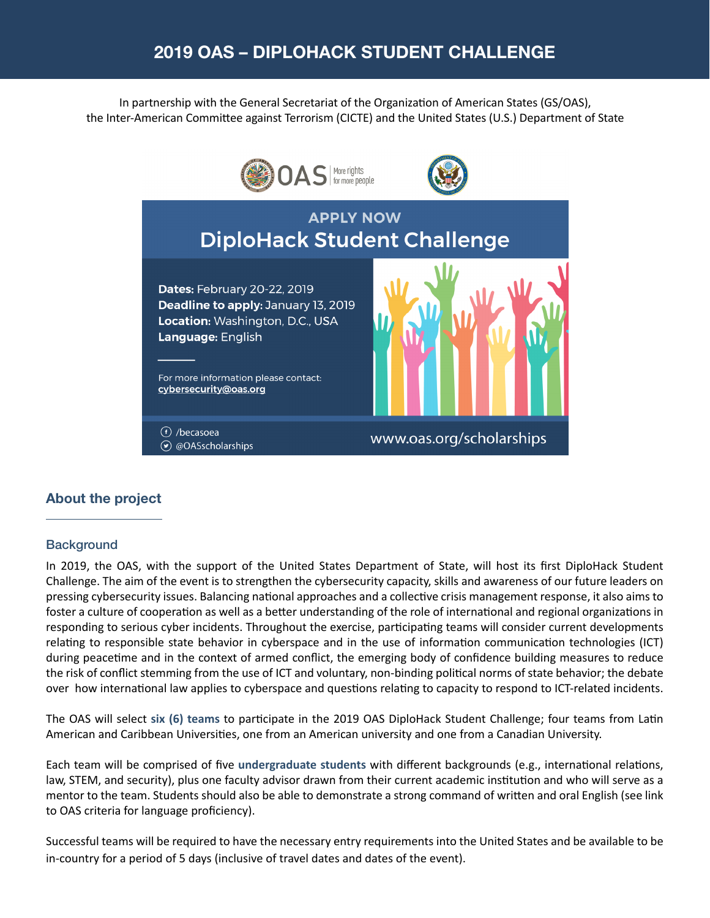# 2019 OAS – DIPLOHACK STUDENT CHALLENGE

In partnership with the General Secretariat of the Organization of American States (GS/OAS), the Inter-American Committee against Terrorism (CICTE) and the United States (U.S.) Department of State



### About the project

#### **Background**

In 2019, the OAS, with the support of the United States Department of State, will host its first DiploHack Student Challenge. The aim of the event is to strengthen the cybersecurity capacity, skills and awareness of our future leaders on pressing cybersecurity issues. Balancing national approaches and a collective crisis management response, it also aims to foster a culture of cooperation as well as a better understanding of the role of international and regional organizations in responding to serious cyber incidents. Throughout the exercise, participating teams will consider current developments relating to responsible state behavior in cyberspace and in the use of information communication technologies (ICT) during peacetime and in the context of armed conflict, the emerging body of confidence building measures to reduce the risk of conflict stemming from the use of ICT and voluntary, non-binding political norms of state behavior; the debate over how international law applies to cyberspace and questions relating to capacity to respond to ICT-related incidents.

The OAS will select **six (6) teams** to participate in the 2019 OAS DiploHack Student Challenge; four teams from Latin American and Caribbean Universities, one from an American university and one from a Canadian University.

Each team will be comprised of five **undergraduate students** with different backgrounds (e.g., international relations, law, STEM, and security), plus one faculty advisor drawn from their current academic institution and who will serve as a mentor to the team. Students should also be able to demonstrate a strong command of written and oral English (see link to OAS criteria for language proficiency).

Successful teams will be required to have the necessary entry requirements into the United States and be available to be in-country for a period of 5 days (inclusive of travel dates and dates of the event).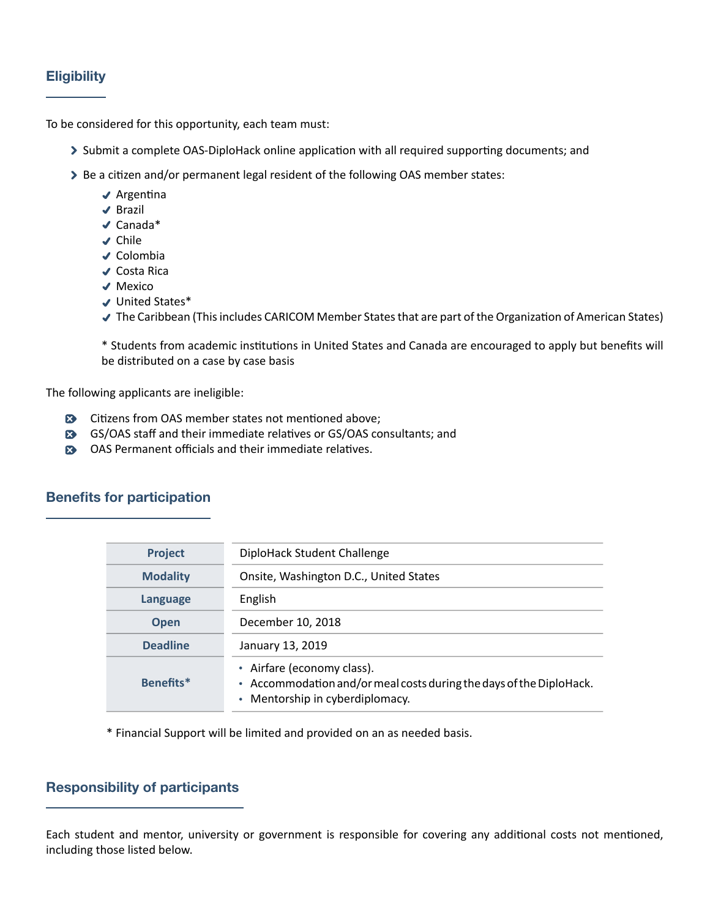# **Eligibility**

To be considered for this opportunity, each team must:

- Submit a complete OAS-DiploHack online application with all required supporting documents; and
- > Be a citizen and/or permanent legal resident of the following OAS member states:
	- $\triangleleft$  Argentina
	- **√** Brazil
	- Canada\*
	- **√** Chile
	- $\triangleleft$  Colombia
	- ◆ Costa Rica
	- ◆ Mexico
	- United States\*
	- The Caribbean (This includes CARICOM Member States that are part of the Organization of American States)

\* Students from academic institutions in United States and Canada are encouraged to apply but benefits will be distributed on a case by case basis

The following applicants are ineligible:

- Citizens from OAS member states not mentioned above;
- GS/OAS staff and their immediate relatives or GS/OAS consultants; and
- OAS Permanent officials and their immediate relatives.

# Benefits for participation

| Project         | DiploHack Student Challenge                                                                                                          |  |  |
|-----------------|--------------------------------------------------------------------------------------------------------------------------------------|--|--|
| <b>Modality</b> | Onsite, Washington D.C., United States                                                                                               |  |  |
| <b>Language</b> | English                                                                                                                              |  |  |
| <b>Open</b>     | December 10, 2018                                                                                                                    |  |  |
| <b>Deadline</b> | January 13, 2019                                                                                                                     |  |  |
| Benefits*       | • Airfare (economy class).<br>• Accommodation and/or meal costs during the days of the DiploHack.<br>• Mentorship in cyberdiplomacy. |  |  |

\* Financial Support will be limited and provided on an as needed basis.

# Responsibility of participants

Each student and mentor, university or government is responsible for covering any additional costs not mentioned, including those listed below.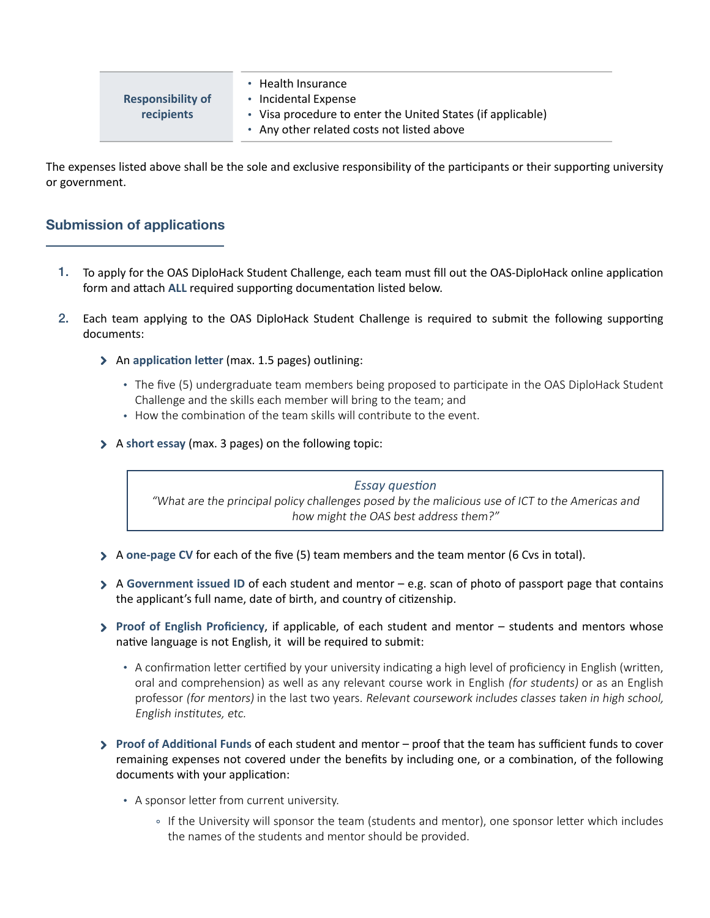| <b>Responsibility of</b> | • Health Insurance<br>• Incidental Expense                                                                |  |
|--------------------------|-----------------------------------------------------------------------------------------------------------|--|
| recipients               | • Visa procedure to enter the United States (if applicable)<br>• Any other related costs not listed above |  |

The expenses listed above shall be the sole and exclusive responsibility of the participants or their supporting university or government.

# Submission of applications

- To apply for the OAS DiploHack Student Challenge, each team must fill out the OAS-DiploHack online application 1. form and attach **ALL** required supporting documentation listed below.
- Each team applying to the OAS DiploHack Student Challenge is required to submit the following supporting 2. documents:
	- An **application letter** (max. 1.5 pages) outlining:
		- The five (5) undergraduate team members being proposed to participate in the OAS DiploHack Student Challenge and the skills each member will bring to the team; and
		- How the combination of the team skills will contribute to the event.
	- A **short essay** (max. 3 pages) on the following topic:

*Essay question* "What are the principal policy challenges posed by the malicious use of ICT to the Americas and how might the OAS best address them?"

- A **one-page CV** for each of the five (5) team members and the team mentor (6 Cvs in total).
- A **Government issued ID** of each student and mentor e.g. scan of photo of passport page that contains the applicant's full name, date of birth, and country of citizenship.
- **Proof of English Proficiency**, if applicable, of each student and mentor students and mentors whose native language is not English, it will be required to submit:
	- A confirmation letter certified by your university indicating a high level of proficiency in English (written, oral and comprehension) as well as any relevant course work in English (for students) or as an English professor (for mentors) in the last two years. Relevant coursework includes classes taken in high school, English institutes, etc.
- **Proof of Additional Funds** of each student and mentor proof that the team has sufficient funds to cover remaining expenses not covered under the benefits by including one, or a combination, of the following documents with your application:
	- A sponsor letter from current university.
		- o If the University will sponsor the team (students and mentor), one sponsor letter which includes the names of the students and mentor should be provided.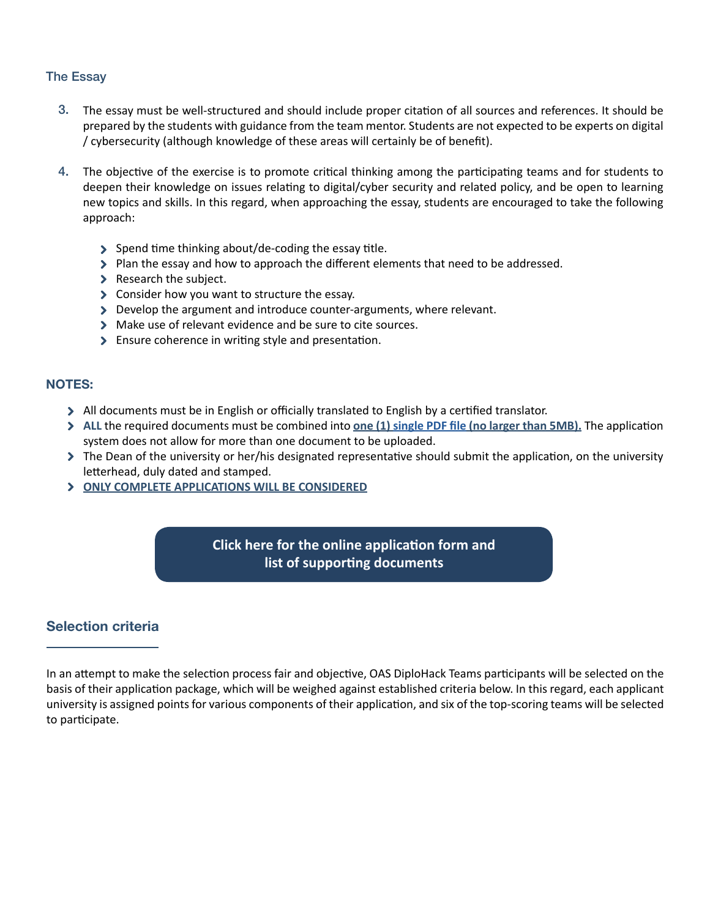### The Essay

- The essay must be well-structured and should include proper citation of all sources and references. It should be prepared by the students with guidance from the team mentor. Students are not expected to be experts on digital / cybersecurity (although knowledge of these areas will certainly be of benefit). 3.
- The objective of the exercise is to promote critical thinking among the participating teams and for students to deepen their knowledge on issues relating to digital/cyber security and related policy, and be open to learning new topics and skills. In this regard, when approaching the essay, students are encouraged to take the following approach: 4.
	- Spend time thinking about/de-coding the essay title.
	- $\triangleright$  Plan the essay and how to approach the different elements that need to be addressed.
	- > Research the subject.
	- S Consider how you want to structure the essay.
	- Develop the argument and introduce counter-arguments, where relevant.
	- Make use of relevant evidence and be sure to cite sources.
	- Ensure coherence in writing style and presentation.

### NOTES:

- All documents must be in English or officially translated to English by a certified translator.
- **ALL** the required documents must be combined into **one (1) [single PDF file](https://acrobat.adobe.com/us/en/acrobat/how-to/merge-combine-pdf-files-online.html) (no larger than 5MB).** The application system does not allow for more than one document to be uploaded.
- The Dean of the university or her/his designated representative should submit the application, on the university letterhead, duly dated and stamped.
- **ONLY COMPLETE APPLICATIONS WILL BE CONSIDERED**

# **[Click here for the online application form and](https://www.oas.org/fms/Announcement.aspx?id=1026&Type=4&Lang=Eng)  list of supporting documents**

# Selection criteria

In an attempt to make the selection process fair and objective, OAS DiploHack Teams participants will be selected on the basis of their application package, which will be weighed against established criteria below. In this regard, each applicant university is assigned points for various components of their application, and six of the top-scoring teams will be selected to participate.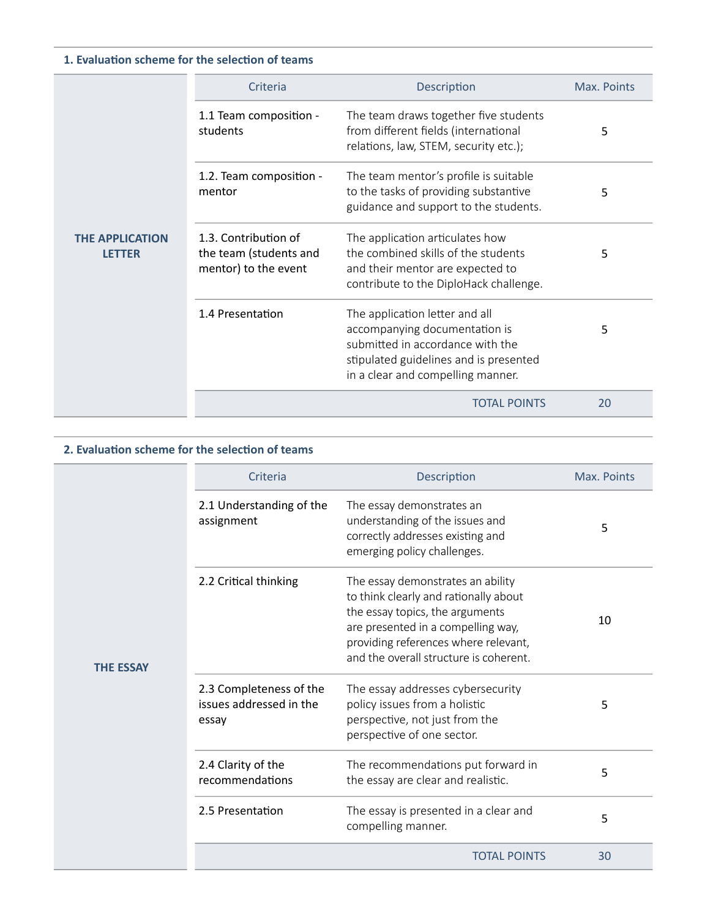### **1. Evaluation scheme for the selection of teams**

| <b>THE APPLICATION</b><br><b>LETTER</b> | Criteria                                                               | Description                                                                                                                                                                        | Max. Points |
|-----------------------------------------|------------------------------------------------------------------------|------------------------------------------------------------------------------------------------------------------------------------------------------------------------------------|-------------|
|                                         | 1.1 Team composition -<br>students                                     | The team draws together five students<br>from different fields (international<br>relations, law, STEM, security etc.);                                                             | 5           |
|                                         | 1.2. Team composition -<br>mentor                                      | The team mentor's profile is suitable<br>to the tasks of providing substantive<br>guidance and support to the students.                                                            | 5           |
|                                         | 1.3. Contribution of<br>the team (students and<br>mentor) to the event | The application articulates how<br>the combined skills of the students<br>and their mentor are expected to<br>contribute to the DiploHack challenge.                               | 5           |
|                                         | 1.4 Presentation                                                       | The application letter and all<br>accompanying documentation is<br>submitted in accordance with the<br>stipulated guidelines and is presented<br>in a clear and compelling manner. | 5           |
|                                         |                                                                        | <b>TOTAL POINTS</b>                                                                                                                                                                | 20          |

### **2. Evaluation scheme for the selection of teams**

| <b>THE ESSAY</b> | Criteria                                                    | Description                                                                                                                                                                                                                           | Max. Points |
|------------------|-------------------------------------------------------------|---------------------------------------------------------------------------------------------------------------------------------------------------------------------------------------------------------------------------------------|-------------|
|                  | 2.1 Understanding of the<br>assignment                      | The essay demonstrates an<br>understanding of the issues and<br>correctly addresses existing and<br>emerging policy challenges.                                                                                                       | 5           |
|                  | 2.2 Critical thinking                                       | The essay demonstrates an ability<br>to think clearly and rationally about<br>the essay topics, the arguments<br>are presented in a compelling way,<br>providing references where relevant,<br>and the overall structure is coherent. | 10          |
|                  | 2.3 Completeness of the<br>issues addressed in the<br>essay | The essay addresses cybersecurity<br>policy issues from a holistic<br>perspective, not just from the<br>perspective of one sector.                                                                                                    | 5           |
|                  | 2.4 Clarity of the<br>recommendations                       | The recommendations put forward in<br>the essay are clear and realistic.                                                                                                                                                              | 5           |
|                  | 2.5 Presentation                                            | The essay is presented in a clear and<br>compelling manner.                                                                                                                                                                           | 5           |
|                  |                                                             | <b>TOTAL POINTS</b>                                                                                                                                                                                                                   | 30          |
|                  |                                                             |                                                                                                                                                                                                                                       |             |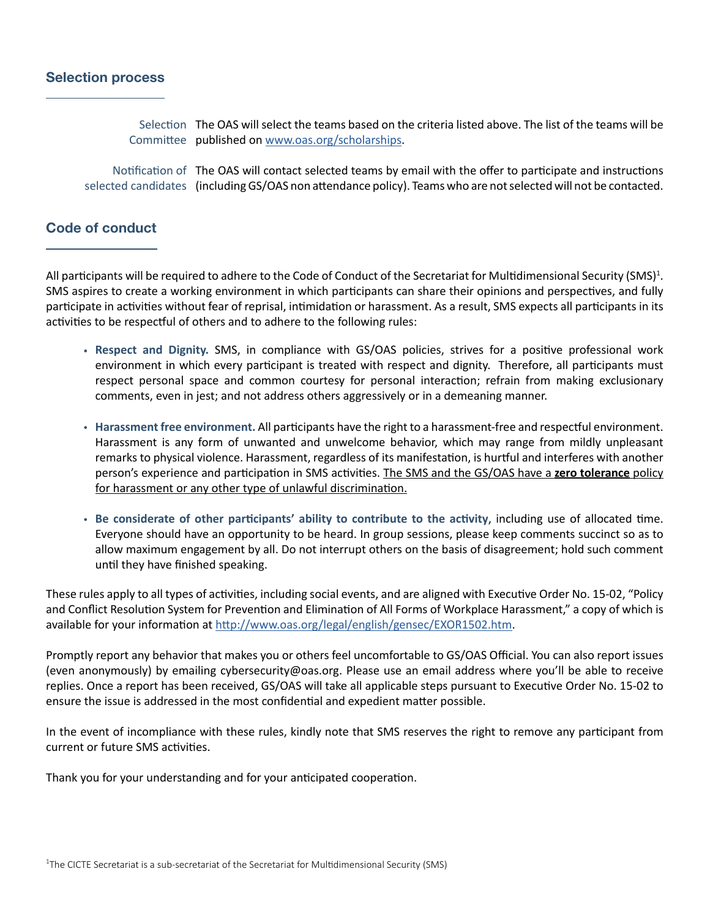### Selection process

Selection The OAS will select the teams based on the criteria listed above. The list of the teams will be Committee published on [www.oas.org/scholarships](http://www.oas.org/en/scholarships/).

Notification of The OAS will contact selected teams by email with the offer to participate and instructions selected candidates (including GS/OAS non attendance policy). Teams who are not selected will not be contacted.

### Code of conduct

All participants will be required to adhere to the Code of Conduct of the Secretariat for Multidimensional Security (SMS)<sup>1</sup>. SMS aspires to create a working environment in which participants can share their opinions and perspectives, and fully participate in activities without fear of reprisal, intimidation or harassment. As a result, SMS expects all participants in its activities to be respectful of others and to adhere to the following rules:

- **Respect and Dignity.** SMS, in compliance with GS/OAS policies, strives for a positive professional work environment in which every participant is treated with respect and dignity. Therefore, all participants must respect personal space and common courtesy for personal interaction; refrain from making exclusionary comments, even in jest; and not address others aggressively or in a demeaning manner.
- **Harassment free environment.** All participants have the right to a harassment-free and respectful environment. Harassment is any form of unwanted and unwelcome behavior, which may range from mildly unpleasant remarks to physical violence. Harassment, regardless of its manifestation, is hurtful and interferes with another person's experience and participation in SMS activities. The SMS and the GS/OAS have a **zero tolerance** policy for harassment or any other type of unlawful discrimination.
- **Be considerate of other participants' ability to contribute to the activity**, including use of allocated time. Everyone should have an opportunity to be heard. In group sessions, please keep comments succinct so as to allow maximum engagement by all. Do not interrupt others on the basis of disagreement; hold such comment until they have finished speaking.

These rules apply to all types of activities, including social events, and are aligned with Executive Order No. 15-02, "Policy and Conflict Resolution System for Prevention and Elimination of All Forms of Workplace Harassment," a copy of which is available for your information at [http://www.oas.org/legal/english/gensec/EXOR1502.htm.](http://www.oas.org/legal/english/gensec/EXOR1502.htm)

Promptly report any behavior that makes you or others feel uncomfortable to GS/OAS Official. You can also report issues (even anonymously) by emailing cybersecurity@oas.org. Please use an email address where you'll be able to receive replies. Once a report has been received, GS/OAS will take all applicable steps pursuant to Executive Order No. 15-02 to ensure the issue is addressed in the most confidential and expedient matter possible.

In the event of incompliance with these rules, kindly note that SMS reserves the right to remove any participant from current or future SMS activities.

Thank you for your understanding and for your anticipated cooperation.